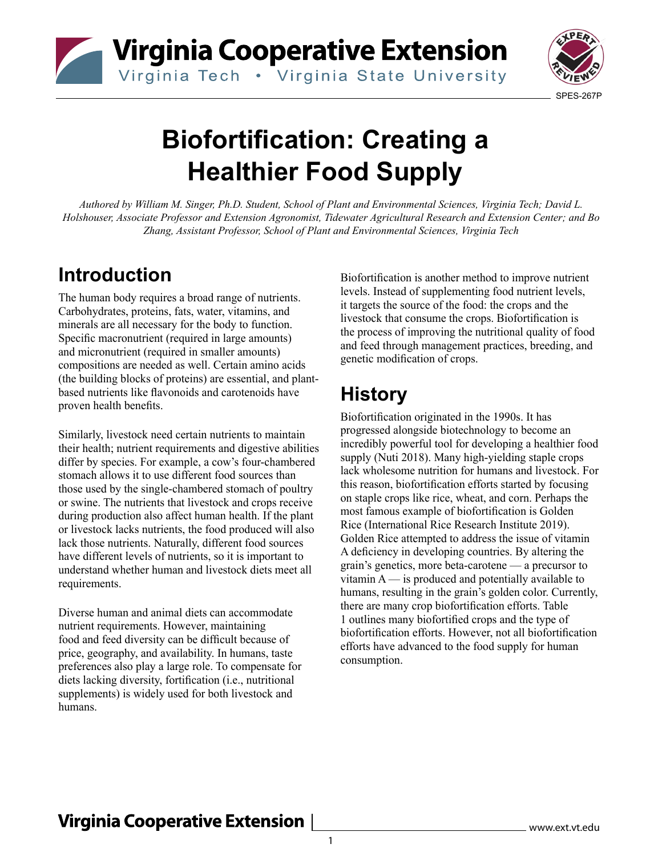



# **Biofortification: Creating a Healthier Food Supply**

*Authored by William M. Singer, Ph.D. Student, School of Plant and Environmental Sciences, Virginia Tech; David L. Holshouser, Associate Professor and Extension Agronomist, Tidewater Agricultural Research and Extension Center; and Bo Zhang, Assistant Professor, School of Plant and Environmental Sciences, Virginia Tech*

## **Introduction**

The human body requires a broad range of nutrients. Carbohydrates, proteins, fats, water, vitamins, and minerals are all necessary for the body to function. Specific macronutrient (required in large amounts) and micronutrient (required in smaller amounts) compositions are needed as well. Certain amino acids (the building blocks of proteins) are essential, and plantbased nutrients like flavonoids and carotenoids have proven health benefits.

Similarly, livestock need certain nutrients to maintain their health; nutrient requirements and digestive abilities differ by species. For example, a cow's four-chambered stomach allows it to use different food sources than those used by the single-chambered stomach of poultry or swine. The nutrients that livestock and crops receive during production also affect human health. If the plant or livestock lacks nutrients, the food produced will also lack those nutrients. Naturally, different food sources have different levels of nutrients, so it is important to understand whether human and livestock diets meet all requirements.

Diverse human and animal diets can accommodate nutrient requirements. However, maintaining food and feed diversity can be difficult because of price, geography, and availability. In humans, taste preferences also play a large role. To compensate for diets lacking diversity, fortification (i.e., nutritional supplements) is widely used for both livestock and humans.

Biofortification is another method to improve nutrient levels. Instead of supplementing food nutrient levels, it targets the source of the food: the crops and the livestock that consume the crops. Biofortification is the process of improving the nutritional quality of food and feed through management practices, breeding, and genetic modification of crops.

## **History**

Biofortification originated in the 1990s. It has progressed alongside biotechnology to become an incredibly powerful tool for developing a healthier food supply (Nuti 2018). Many high-yielding staple crops lack wholesome nutrition for humans and livestock. For this reason, biofortification efforts started by focusing on staple crops like rice, wheat, and corn. Perhaps the most famous example of biofortification is Golden Rice (International Rice Research Institute 2019). Golden Rice attempted to address the issue of vitamin A deficiency in developing countries. By altering the grain's genetics, more beta-carotene — a precursor to vitamin  $A$  — is produced and potentially available to humans, resulting in the grain's golden color. Currently, there are many crop biofortification efforts. Table 1 outlines many biofortified crops and the type of biofortification efforts. However, not all biofortification efforts have advanced to the food supply for human consumption.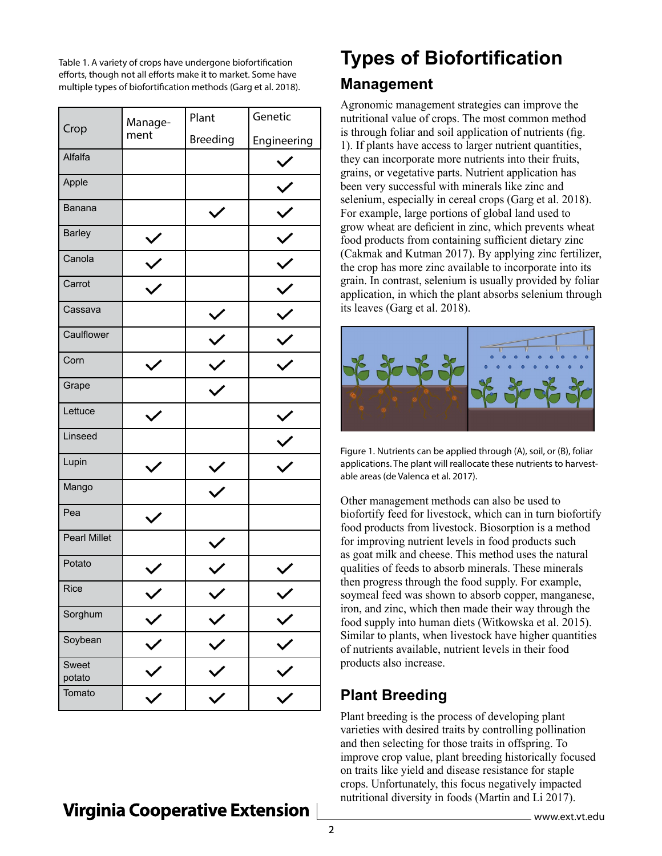Table 1. A variety of crops have undergone biofortification efforts, though not all efforts make it to market. Some have multiple types of biofortification methods (Garg et al. 2018).

| Crop                | Manage-<br>ment | Plant           | Genetic     |
|---------------------|-----------------|-----------------|-------------|
|                     |                 | <b>Breeding</b> | Engineering |
| Alfalfa             |                 |                 |             |
| Apple               |                 |                 |             |
| Banana              |                 |                 |             |
| <b>Barley</b>       |                 |                 |             |
| Canola              |                 |                 |             |
| Carrot              |                 |                 |             |
| Cassava             |                 |                 |             |
| Caulflower          |                 |                 |             |
| Corn                |                 |                 |             |
| Grape               |                 |                 |             |
| Lettuce             |                 |                 |             |
| Linseed             |                 |                 |             |
| Lupin               |                 |                 |             |
| Mango               |                 |                 |             |
| Pea                 |                 |                 |             |
| <b>Pearl Millet</b> |                 |                 |             |
| Potato              |                 |                 |             |
| Rice                |                 |                 |             |
| Sorghum             | $\checkmark$    |                 |             |
| Soybean             | $\checkmark$    | $\checkmark$    |             |
| Sweet<br>potato     |                 |                 |             |
| Tomato              |                 |                 |             |

## **Types of Biofortification Management**

Agronomic management strategies can improve the nutritional value of crops. The most common method is through foliar and soil application of nutrients (fig. 1). If plants have access to larger nutrient quantities, they can incorporate more nutrients into their fruits, grains, or vegetative parts. Nutrient application has been very successful with minerals like zinc and selenium, especially in cereal crops (Garg et al. 2018). For example, large portions of global land used to grow wheat are deficient in zinc, which prevents wheat food products from containing sufficient dietary zinc (Cakmak and Kutman 2017). By applying zinc fertilizer, the crop has more zinc available to incorporate into its grain. In contrast, selenium is usually provided by foliar application, in which the plant absorbs selenium through its leaves (Garg et al. 2018).



Figure 1. Nutrients can be applied through (A), soil, or (B), foliar applications. The plant will reallocate these nutrients to harvestable areas (de Valenca et al. 2017).

Other management methods can also be used to biofortify feed for livestock, which can in turn biofortify food products from livestock. Biosorption is a method for improving nutrient levels in food products such as goat milk and cheese. This method uses the natural qualities of feeds to absorb minerals. These minerals then progress through the food supply. For example, soymeal feed was shown to absorb copper, manganese, iron, and zinc, which then made their way through the food supply into human diets (Witkowska et al. 2015). Similar to plants, when livestock have higher quantities of nutrients available, nutrient levels in their food products also increase.

## **Plant Breeding**

Plant breeding is the process of developing plant varieties with desired traits by controlling pollination and then selecting for those traits in offspring. To improve crop value, plant breeding historically focused on traits like yield and disease resistance for staple crops. Unfortunately, this focus negatively impacted nutritional diversity in foods (Martin and Li 2017).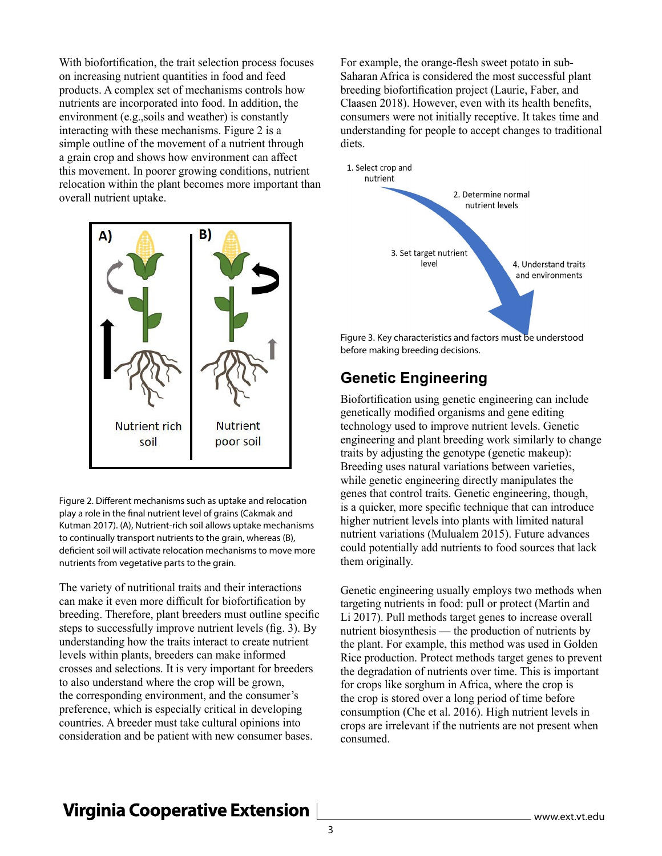With biofortification, the trait selection process focuses on increasing nutrient quantities in food and feed products. A complex set of mechanisms controls how nutrients are incorporated into food. In addition, the environment (e.g.,soils and weather) is constantly interacting with these mechanisms. Figure 2 is a simple outline of the movement of a nutrient through a grain crop and shows how environment can affect this movement. In poorer growing conditions, nutrient relocation within the plant becomes more important than overall nutrient uptake.



Figure 2. Different mechanisms such as uptake and relocation play a role in the final nutrient level of grains (Cakmak and Kutman 2017). (A), Nutrient-rich soil allows uptake mechanisms to continually transport nutrients to the grain, whereas (B), deficient soil will activate relocation mechanisms to move more nutrients from vegetative parts to the grain.

The variety of nutritional traits and their interactions can make it even more difficult for biofortification by breeding. Therefore, plant breeders must outline specific steps to successfully improve nutrient levels (fig. 3). By understanding how the traits interact to create nutrient levels within plants, breeders can make informed crosses and selections. It is very important for breeders to also understand where the crop will be grown, the corresponding environment, and the consumer's preference, which is especially critical in developing countries. A breeder must take cultural opinions into consideration and be patient with new consumer bases.

For example, the orange-flesh sweet potato in sub-Saharan Africa is considered the most successful plant breeding biofortification project (Laurie, Faber, and Claasen 2018). However, even with its health benefits, consumers were not initially receptive. It takes time and understanding for people to accept changes to traditional diets.



before making breeding decisions.

#### **Genetic Engineering**

Biofortification using genetic engineering can include genetically modified organisms and gene editing technology used to improve nutrient levels. Genetic engineering and plant breeding work similarly to change traits by adjusting the genotype (genetic makeup): Breeding uses natural variations between varieties, while genetic engineering directly manipulates the genes that control traits. Genetic engineering, though, is a quicker, more specific technique that can introduce higher nutrient levels into plants with limited natural nutrient variations (Mulualem 2015). Future advances could potentially add nutrients to food sources that lack them originally.

Genetic engineering usually employs two methods when targeting nutrients in food: pull or protect (Martin and Li 2017). Pull methods target genes to increase overall nutrient biosynthesis — the production of nutrients by the plant. For example, this method was used in Golden Rice production. Protect methods target genes to prevent the degradation of nutrients over time. This is important for crops like sorghum in Africa, where the crop is the crop is stored over a long period of time before consumption (Che et al. 2016). High nutrient levels in crops are irrelevant if the nutrients are not present when consumed.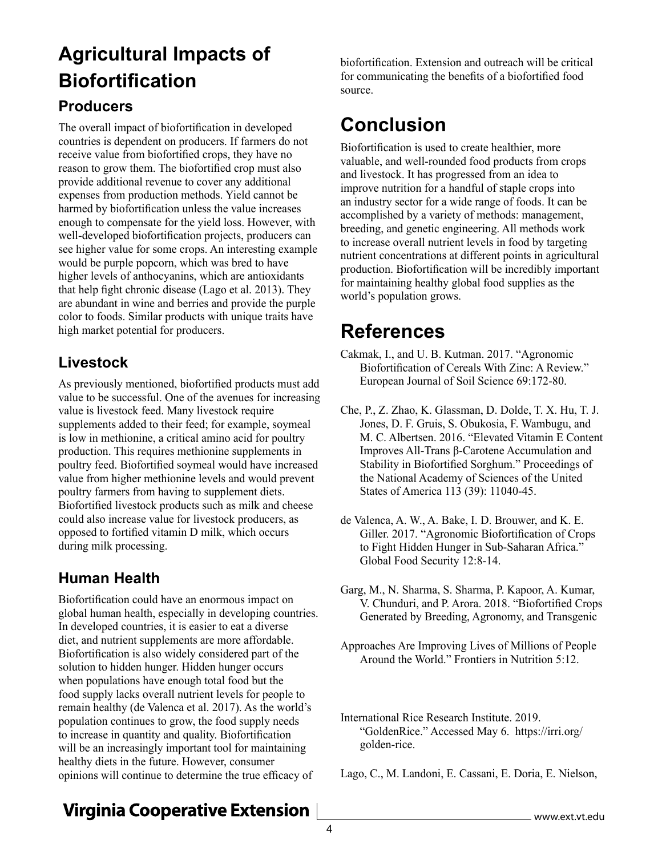# **Agricultural Impacts of Biofortification**

#### **Producers**

The overall impact of biofortification in developed countries is dependent on producers. If farmers do not receive value from biofortified crops, they have no reason to grow them. The biofortified crop must also provide additional revenue to cover any additional expenses from production methods. Yield cannot be harmed by biofortification unless the value increases enough to compensate for the yield loss. However, with well-developed biofortification projects, producers can see higher value for some crops. An interesting example would be purple popcorn, which was bred to have higher levels of anthocyanins, which are antioxidants that help fight chronic disease (Lago et al. 2013). They are abundant in wine and berries and provide the purple color to foods. Similar products with unique traits have high market potential for producers.

#### **Livestock**

As previously mentioned, biofortified products must add value to be successful. One of the avenues for increasing value is livestock feed. Many livestock require supplements added to their feed; for example, soymeal is low in methionine, a critical amino acid for poultry production. This requires methionine supplements in poultry feed. Biofortified soymeal would have increased value from higher methionine levels and would prevent poultry farmers from having to supplement diets. Biofortified livestock products such as milk and cheese could also increase value for livestock producers, as opposed to fortified vitamin D milk, which occurs during milk processing.

#### **Human Health**

Biofortification could have an enormous impact on global human health, especially in developing countries. In developed countries, it is easier to eat a diverse diet, and nutrient supplements are more affordable. Biofortification is also widely considered part of the solution to hidden hunger. Hidden hunger occurs when populations have enough total food but the food supply lacks overall nutrient levels for people to remain healthy (de Valenca et al. 2017). As the world's population continues to grow, the food supply needs to increase in quantity and quality. Biofortification will be an increasingly important tool for maintaining healthy diets in the future. However, consumer opinions will continue to determine the true efficacy of

biofortification. Extension and outreach will be critical for communicating the benefits of a biofortified food source.

# **Conclusion**

Biofortification is used to create healthier, more valuable, and well-rounded food products from crops and livestock. It has progressed from an idea to improve nutrition for a handful of staple crops into an industry sector for a wide range of foods. It can be accomplished by a variety of methods: management, breeding, and genetic engineering. All methods work to increase overall nutrient levels in food by targeting nutrient concentrations at different points in agricultural production. Biofortification will be incredibly important for maintaining healthy global food supplies as the world's population grows.

## **References**

- Cakmak, I., and U. B. Kutman. 2017. "Agronomic Biofortification of Cereals With Zinc: A Review." European Journal of Soil Science 69:172-80.
- Che, P., Z. Zhao, K. Glassman, D. Dolde, T. X. Hu, T. J. Jones, D. F. Gruis, S. Obukosia, F. Wambugu, and M. C. Albertsen. 2016. "Elevated Vitamin E Content Improves All-Trans β-Carotene Accumulation and Stability in Biofortified Sorghum." Proceedings of the National Academy of Sciences of the United States of America 113 (39): 11040-45.
- de Valenca, A. W., A. Bake, I. D. Brouwer, and K. E. Giller. 2017. "Agronomic Biofortification of Crops to Fight Hidden Hunger in Sub-Saharan Africa." Global Food Security 12:8-14.
- Garg, M., N. Sharma, S. Sharma, P. Kapoor, A. Kumar, V. Chunduri, and P. Arora. 2018. "Biofortified Crops Generated by Breeding, Agronomy, and Transgenic
- Approaches Are Improving Lives of Millions of People Around the World." Frontiers in Nutrition 5:12.
- International Rice Research Institute. 2019. "GoldenRice." Accessed May 6. https://irri.org/ golden-rice.

Lago, C., M. Landoni, E. Cassani, E. Doria, E. Nielson,